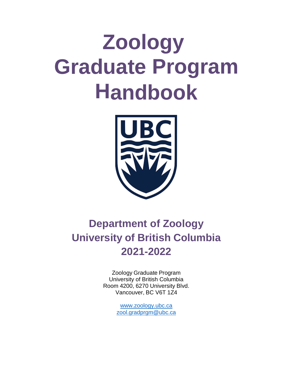# **Zoology Graduate Program Handbook**



# **Department of Zoology University of British Columbia 2021-2022**

Zoology Graduate Program University of British Columbia Room 4200, 6270 University Blvd. Vancouver, BC V6T 1Z4

> [www.zoology.ubc.ca](http://www.zoology.ubc.ca/) [zool.gradprgm@ubc.ca](mailto:grad.program@zoology.ubc.ca)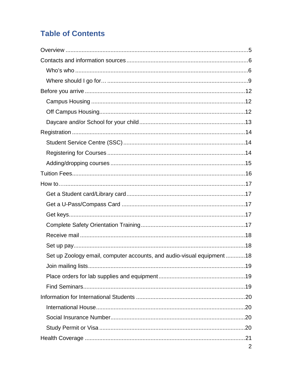# **Table of Contents**

| Set up Zoology email, computer accounts, and audio-visual equipment 18 |                |
|------------------------------------------------------------------------|----------------|
|                                                                        |                |
|                                                                        |                |
|                                                                        |                |
|                                                                        |                |
|                                                                        |                |
|                                                                        |                |
|                                                                        |                |
|                                                                        |                |
|                                                                        | $\overline{2}$ |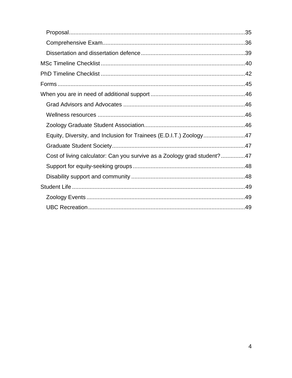| Equity, Diversity, and Inclusion for Trainees (E.D.I.T.) Zoology47       |  |
|--------------------------------------------------------------------------|--|
|                                                                          |  |
| Cost of living calculator: Can you survive as a Zoology grad student? 47 |  |
|                                                                          |  |
|                                                                          |  |
|                                                                          |  |
|                                                                          |  |
|                                                                          |  |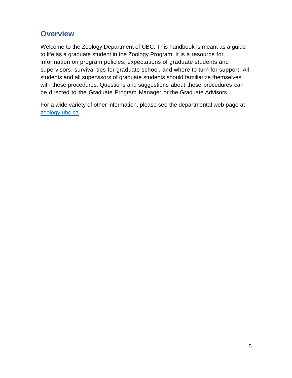# <span id="page-4-0"></span>**Overview**

Welcome to the Zoology Department of UBC. This handbook is meant as a guide to life as a graduate student in the Zoology Program. It is a resource for information on program policies, expectations of graduate students and supervisors, survival tips for graduate school, and where to turn for support. All students and all supervisors of graduate students should familiarize themselves with these procedures. Questions and suggestions about these procedures can be directed to the Graduate Program Manager or the Graduate Advisors.

For a wide variety of other information, please see the departmental web page at [zoology.ubc.ca](https://www.zoology.ubc.ca/)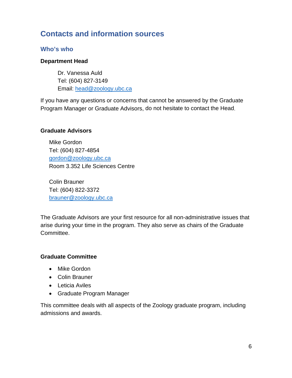# <span id="page-5-0"></span>**Contacts and information sources**

#### <span id="page-5-1"></span>**Who's who**

#### **Department Head**

Dr. Vanessa Auld Tel: (604) 827-3149 Email: [head@zoology.ubc.ca](mailto:head@zoology.ubc.ca)

If you have any questions or concerns that cannot be answered by the Graduate Program Manager or Graduate Advisors, do not hesitate to contact the Head.

#### **Graduate Advisors**

Mike Gordon Tel: (604) 827-4854 [gordon@zoology.ubc.ca](mailto:gordon@zoology.ubc.ca) Room 3.352 Life Sciences Centre

Colin Brauner Tel: (604) 822-3372 [brauner@zoology.ubc.ca](mailto:brauner@zoology.ubc.ca)

The Graduate Advisors are your first resource for all non-administrative issues that arise during your time in the program. They also serve as chairs of the Graduate Committee.

#### **Graduate Committee**

- Mike Gordon
- Colin Brauner
- Leticia Aviles
- Graduate Program Manager

This committee deals with all aspects of the Zoology graduate program, including admissions and awards.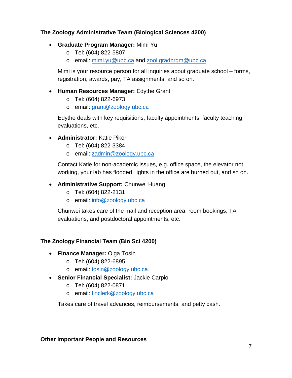#### **The Zoology Administrative Team (Biological Sciences 4200)**

- **Graduate Program Manager:** Mimi Yu
	- o Tel: (604) 822-5807
	- o email: [mimi.yu@ubc.ca](mailto:mimi.yu@ubc.ca) and zool.gradprgm@ubc.ca

Mimi is your resource person for all inquiries about graduate school – forms, registration, awards, pay, TA assignments, and so on.

- **Human Resources Manager:** Edythe Grant
	- o Tel: (604) 822-6973
	- o email: [grant@zoology.ubc.ca](mailto:grant@zoology.ubc.ca)

Edythe deals with key requisitions, faculty appointments, faculty teaching evaluations, etc.

- **Administrator:** Katie Pikor
	- o Tel: (604) 822-3384
	- o email: [zadmin@zoology.ubc.ca](mailto:zadmin@zoology.ubc.ca)

Contact Katie for non-academic issues, e.g. office space, the elevator not working, your lab has flooded, lights in the office are burned out, and so on.

#### • **Administrative Support:** Chunwei Huang

- o Tel: (604) 822-2131
- o email: [info@zoology.ubc.ca](mailto:info@zoology.ubc.ca)

Chunwei takes care of the mail and reception area, room bookings, TA evaluations, and postdoctoral appointments, etc.

#### **The Zoology Financial Team (Bio Sci 4200)**

- **Finance Manager:** Olga Tosin
	- o Tel: (604) 822-6895
	- o email: [tosin@zoology.ubc.ca](mailto:tosin@zoology.ubc.ca)
- **Senior Financial Specialist:** Jackie Carpio
	- o Tel: (604) 822-0871
	- o email: [finclerk@zoology.ubc.ca](mailto:finclerk@zoology.ubc.ca)

Takes care of travel advances, reimbursements, and petty cash.

#### **Other Important People and Resources**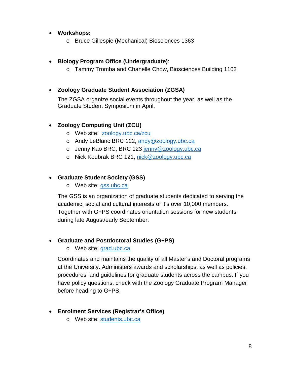#### • **Workshops:**

o Bruce Gillespie (Mechanical) Biosciences 1363

#### • **Biology Program Office (Undergraduate)**:

o Tammy Tromba and Chanelle Chow, Biosciences Building 1103

#### • **Zoology Graduate Student Association (ZGSA)**

The ZGSA organize social events throughout the year, as well as the Graduate Student Symposium in April.

#### • **Zoology Computing Unit (ZCU)**

- o Web site: [zoology.ubc.ca/zcu](https://www.zoology.ubc.ca/zcu/)
- o Andy LeBlanc BRC 122, [andy@zoology.ubc.ca](mailto:andy@zoology.ubc.ca)
- o Jenny Kao BRC, BRC 123 [jenny@zoology.ubc.ca](mailto:jenny@zoology.ubc.ca)
- o Nick Koubrak BRC 121, [nick@zoology.ubc.ca](mailto:nick@zoology.ubc.ca)

#### • **Graduate Student Society (GSS)**

o Web site: [gss.ubc.ca](https://www.gss.ubc.ca/)

The GSS is an organization of graduate students dedicated to serving the academic, social and cultural interests of it's over 10,000 members. Together with G+PS coordinates orientation sessions for new students during late August/early September.

#### • **Graduate and Postdoctoral Studies (G+PS)**

#### o Web site: [grad.ubc.ca](https://www.grad.ubc.ca/)

Coordinates and maintains the quality of all Master's and Doctoral programs at the University. Administers awards and scholarships, as well as policies, procedures, and guidelines for graduate students across the campus. If you have policy questions, check with the Zoology Graduate Program Manager before heading to G+PS.

#### • **Enrolment Services (Registrar's Office)**

o Web site: [students.ubc.ca](https://www.students.ubc.ca/)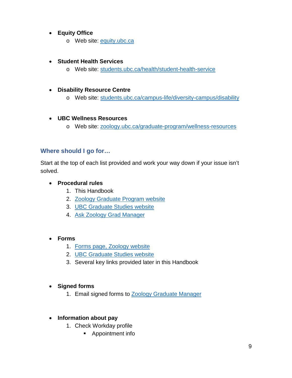#### • **Equity Office**

o Web site: [equity.ubc.ca](https://equity.ubc.ca/)

#### • **Student Health Services**

o Web site: [students.ubc.ca/health/student-health-service](https://students.ubc.ca/health/student-health-service)

#### • **Disability Resource Centre**

o Web site: [students.ubc.ca/campus-life/diversity-campus/disability](https://students.ubc.ca/campus-life/diversity-campus/disability)

#### • **UBC Wellness Resources**

o Web site: [zoology.ubc.ca/graduate-program/wellness-resources](https://www.zoology.ubc.ca/graduate-program/wellness-resources)

#### <span id="page-8-0"></span>**Where should I go for…**

Start at the top of each list provided and work your way down if your issue isn't solved.

#### • **Procedural rules**

- 1. This Handbook
- 2. [Zoology Graduate Program website](https://www.zoology.ubc.ca/graduate-program)
- 3. [UBC Graduate Studies website](https://www.grad.ubc.ca/)
- 4. [Ask Zoology Grad Manager](mailto:coordinator@zoology.ubc.ca)

#### • **Forms**

- 1. [Forms page, Zoology website](https://www.zoology.ubc.ca/graduate-program/student-handbook-and-forms)
- 2. [UBC Graduate Studies website](https://www.grad.ubc.ca/)
- 3. Several key links provided later in this Handbook

#### • **Signed forms**

1. Email signed forms to [Zoology Graduate Manager](mailto:coordinator@zoology.ubc.ca)

#### • **Information about pay**

- 1. Check Workday profile
	- **Appointment info**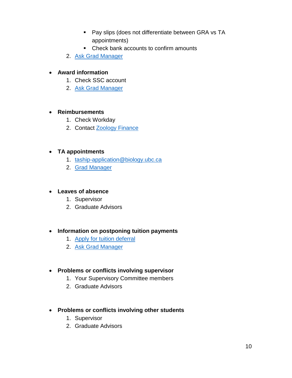- **Pay slips (does not differentiate between GRA vs TA** appointments)
- Check bank accounts to confirm amounts
- 2. [Ask Grad Manager](mailto:coordinator@zoology.ubc.ca)

#### • **Award information**

- 1. Check SSC account
- 2. [Ask Grad Manager](mailto:coordinator@zoology.ubc.ca)

#### • **Reimbursements**

- 1. Check Workday
- 2. Contact [Zoology Finance](mailto:finclerk@zoology.ubc.ca)

#### • **TA appointments**

- 1. [taship-application@biology.ubc.ca](mailto:taship-application@biology.ubc.ca)
- 2. [Grad Manager](mailto:coordinator@zoology.ubc.ca)

#### • **Leaves of absence**

- 1. Supervisor
- 2. Graduate Advisors

#### • **Information on postponing tuition payments**

- 1. [Apply for tuition deferral](https://webforms.students.ubc.ca/enrolment/finances/payroll-deferral)
- 2. [Ask Grad Manager](mailto:coordinator@zoology.ubc.ca)

#### • **Problems or conflicts involving supervisor**

- 1. Your Supervisory Committee members
- 2. Graduate Advisors
- **Problems or conflicts involving other students**
	- 1. Supervisor
	- 2. Graduate Advisors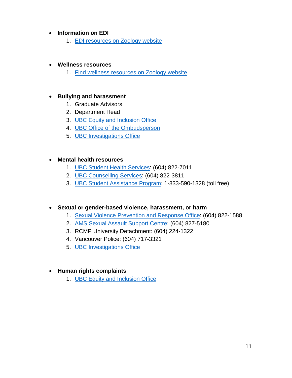#### • **Information on EDI**

1. [EDI resources on Zoology website](https://www.zoology.ubc.ca/resources/equity-diversity-and-inclusion-edi-resources)

#### • **Wellness resources**

1. [Find wellness resources on Zoology website](https://www.zoology.ubc.ca/graduate-program/wellness-resources)

#### • **Bullying and harassment**

- 1. Graduate Advisors
- 2. Department Head
- 3. [UBC Equity and Inclusion Office](https://equity.ubc.ca/)
- 4. [UBC Office of the Ombudsperson](https://ombudsoffice.ubc.ca/)
- 5. [UBC Investigations Office](https://io.ubc.ca/)

#### • **Mental health resources**

- 1. [UBC Student Health Services:](https://students.ubc.ca/health/student-health-service) (604) 822-7011
- 2. [UBC Counselling Services:](https://students.ubc.ca/health/counselling-services) (604) 822-3811
- 3. [UBC Student Assistance Program:](https://students.ubc.ca/health/ubc-student-assistance-program-sap) 1-833-590-1328 (toll free)

#### • **Sexual or gender-based violence, harassment, or harm**

- 1. [Sexual Violence Prevention and Response Office:](https://svpro.ubc.ca/) (604) 822-1588
- 2. [AMS Sexual Assault Support Centre:](https://www.amssasc.ca/) (604) 827-5180
- 3. RCMP University Detachment: (604) 224-1322
- 4. Vancouver Police: (604) 717-3321
- 5. [UBC Investigations Office](https://io.ubc.ca/)

#### • **Human rights complaints**

1. [UBC Equity and Inclusion Office](https://equity.ubc.ca/)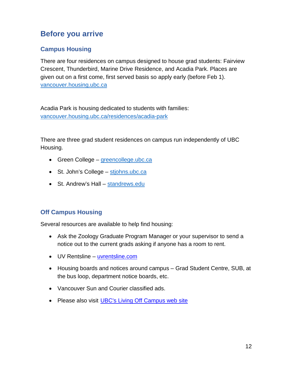# <span id="page-11-0"></span>**Before you arrive**

## <span id="page-11-1"></span>**Campus Housing**

There are four residences on campus designed to house grad students: Fairview Crescent, Thunderbird, Marine Drive Residence, and Acadia Park. Places are given out on a first come, first served basis so apply early (before Feb 1). [vancouver.housing.ubc.ca](https://vancouver.housing.ubc.ca/)

Acadia Park is housing dedicated to students with families: [vancouver.housing.ubc.ca/residences/acadia-park](https://vancouver.housing.ubc.ca/residences/acadia-park/)

There are three grad student residences on campus run independently of UBC Housing.

- Green College [greencollege.ubc.ca](https://greencollege.ubc.ca/)
- St. John's College [stjohns.ubc.ca](https://stjohns.ubc.ca/)
- St. Andrew's Hall [standrews.edu](https://www.standrews.edu/)

#### <span id="page-11-2"></span>**Off Campus Housing**

Several resources are available to help find housing:

- Ask the Zoology Graduate Program Manager or your supervisor to send a notice out to the current grads asking if anyone has a room to rent.
- UV Rentsline [uvrentsline.com](https://www.uvrentsline.com/)
- Housing boards and notices around campus Grad Student Centre, SUB, at the bus loop, department notice boards, etc.
- Vancouver Sun and Courier classified ads.
- Please also visit [UBC's Living Off Campus web site](https://vancouver.housing.ubc.ca/other-housing/off-campus-housing/)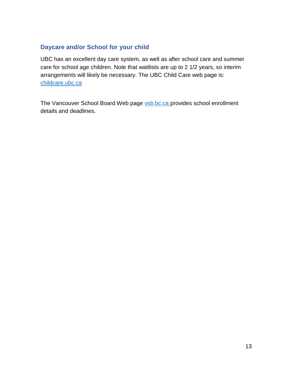## <span id="page-12-0"></span>**Daycare and/or School for your child**

UBC has an excellent day care system, as well as after school care and summer care for school age children. Note that waitlists are up to 2 1/2 years, so interim arrangements will likely be necessary. The UBC Child Care web page is: [childcare.ubc.ca](https://childcare.ubc.ca/)

The Vancouver School Board Web page [vsb.bc.ca](https://www.vsb.bc.ca/) provides school enrollment details and deadlines.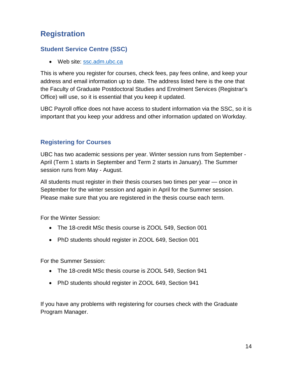# <span id="page-13-0"></span>**Registration**

## <span id="page-13-1"></span>**Student Service Centre (SSC)**

• Web site: [ssc.adm.ubc.ca](https://ssc.adm.ubc.ca/)

This is where you register for courses, check fees, pay fees online, and keep your address and email information up to date. The address listed here is the one that the Faculty of Graduate Postdoctoral Studies and Enrolment Services (Registrar's Office) will use, so it is essential that you keep it updated.

UBC Payroll office does not have access to student information via the SSC, so it is important that you keep your address and other information updated on Workday.

## <span id="page-13-2"></span>**Registering for Courses**

UBC has two academic sessions per year. Winter session runs from September - April (Term 1 starts in September and Term 2 starts in January). The Summer session runs from May - August.

All students must register in their thesis courses two times per year — once in September for the winter session and again in April for the Summer session. Please make sure that you are registered in the thesis course each term.

For the Winter Session:

- The 18-credit MSc thesis course is ZOOL 549, Section 001
- PhD students should register in ZOOL 649, Section 001

For the Summer Session:

- The 18-credit MSc thesis course is ZOOL 549, Section 941
- PhD students should register in ZOOL 649, Section 941

If you have any problems with registering for courses check with the Graduate Program Manager.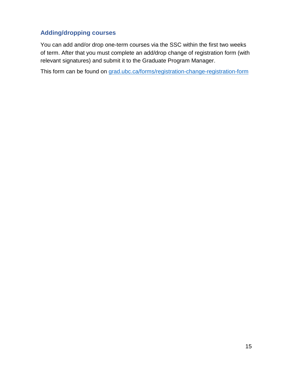# <span id="page-14-0"></span>**Adding/dropping courses**

You can add and/or drop one-term courses via the SSC within the first two weeks of term. After that you must complete an add/drop change of registration form (with relevant signatures) and submit it to the Graduate Program Manager.

This form can be found on [grad.ubc.ca/forms/registration-change-registration-form](https://www.grad.ubc.ca/forms/registration-change-registration-form)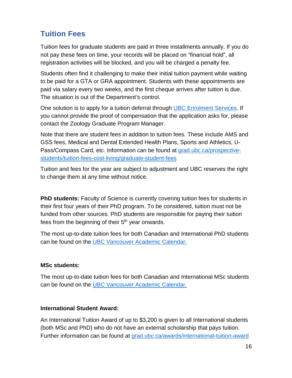# <span id="page-15-0"></span>**Tuition Fees**

Tuition fees for graduate students are paid in three installments annually. If you do not pay these fees on time, your records will be placed on "financial hold", all registration activities will be blocked, and you will be charged a penalty fee.

Students often find it challenging to make their initial tuition payment while waiting to be paid for a GTA or GRA appointment. Students with these appointments are paid via salary every two weeks, and the first cheque arrives after tuition is due. The situation is out of the Department's control.

One solution is to apply for a tuition deferral through [UBC Enrolment Services.](https://webforms.students.ubc.ca/enrolment/finances/payroll-deferral) If you cannot provide the proof of compensation that the application asks for, please contact the Zoology Graduate Program Manager.

Note that there are student fees in addition to tuition fees. These include AMS and GSS fees, Medical and Dental Extended Health Plans, Sports and Athletics, U-Pass/Compass Card, etc. Information can be found at [grad.ubc.ca/prospective](https://www.grad.ubc.ca/prospective-students/tuition-fees-cost-living/graduate-student-fees)[students/tuition-fees-cost-living/graduate-student-fees](https://www.grad.ubc.ca/prospective-students/tuition-fees-cost-living/graduate-student-fees)

Tuition and fees for the year are subject to adjustment and UBC reserves the right to change them at any time without notice.

**PhD students:** Faculty of Science is currently covering tuition fees for students in their first four years of their PhD program. To be considered, tuition must not be funded from other sources. PhD students are responsible for paying their tuition fees from the beginning of their  $5<sup>th</sup>$  year onwards.

The most up-to-date tuition fees for both Canadian and International PhD students can be found on the [UBC Vancouver Academic Calendar.](http://www.calendar.ubc.ca/vancouver/index.cfm?tree=14,266,773,1451#18056)

#### **MSc students:**

The most up-to-date tuition fees for both Canadian and International MSc students can be found on the [UBC Vancouver Academic Calendar.](http://www.calendar.ubc.ca/vancouver/index.cfm?tree=14,266,773,1450#18012)

#### **International Student Award:**

An International Tuition Award of up to \$3,200 is given to all International students (both MSc and PhD) who do not have an external scholarship that pays tuition. Further information can be found at [grad.ubc.ca/awards/international-tuition-award](https://www.grad.ubc.ca/awards/international-tuition-award)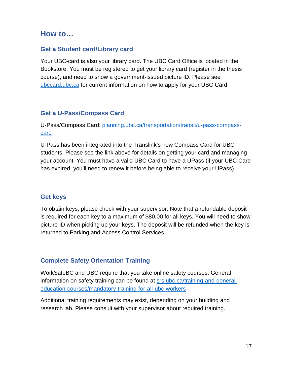# <span id="page-16-0"></span>**How to…**

#### <span id="page-16-1"></span>**Get a Student card/Library card**

Your UBC-card is also your library card. The UBC Card Office is located in the Bookstore. You must be registered to get your library card (register in the thesis course), and need to show a government-issued picture ID. Please see [ubccard.ubc.ca](https://ubccard.ubc.ca/) for current information on how to apply for your UBC Card

#### <span id="page-16-2"></span>**Get a U-Pass/Compass Card**

U-Pass/Compass Card: [planning.ubc.ca/transportation/transit/u-pass-compass](https://planning.ubc.ca/transportation/transit/u-pass-compass-card)[card](https://planning.ubc.ca/transportation/transit/u-pass-compass-card)

U-Pass has been integrated into the Translink's new Compass Card for UBC students. Please see the link above for details on getting your card and managing your account. You must have a valid UBC Card to have a UPass (if your UBC Card has expired, you'll need to renew it before being able to receive your UPass).

#### <span id="page-16-3"></span>**Get keys**

To obtain keys, please check with your supervisor. Note that a refundable deposit is required for each key to a maximum of \$80.00 for all keys. You will need to show picture ID when picking up your keys. The deposit will be refunded when the key is returned to Parking and Access Control Services.

#### <span id="page-16-4"></span>**Complete Safety Orientation Training**

WorkSafeBC and UBC require that you take online safety courses. General information on safety training can be found at [srs.ubc.ca/training-and-general](https://srs.ubc.ca/training-and-general-education-courses/mandatory-training-for-all-ubc-workers/)[education-courses/mandatory-training-for-all-ubc-workers](https://srs.ubc.ca/training-and-general-education-courses/mandatory-training-for-all-ubc-workers/)

Additional training requirements may exist, depending on your building and research lab. Please consult with your supervisor about required training.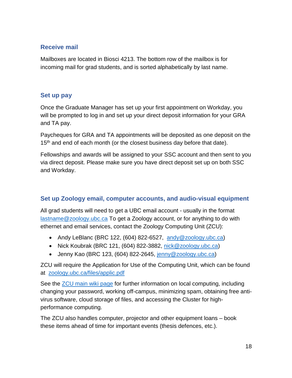## <span id="page-17-0"></span>**Receive mail**

Mailboxes are located in Biosci 4213. The bottom row of the mailbox is for incoming mail for grad students, and is sorted alphabetically by last name.

#### <span id="page-17-1"></span>**Set up pay**

Once the Graduate Manager has set up your first appointment on Workday, you will be prompted to log in and set up your direct deposit information for your GRA and TA pay.

Paycheques for GRA and TA appointments will be deposited as one deposit on the 15<sup>th</sup> and end of each month (or the closest business day before that date).

Fellowships and awards will be assigned to your SSC account and then sent to you via direct deposit. Please make sure you have direct deposit set up on both SSC and Workday.

## <span id="page-17-2"></span>**Set up Zoology email, computer accounts, and audio-visual equipment**

All grad students will need to get a UBC email account - usually in the format [lastname@zoology.ubc.ca](mailto:lastname@zoology.ubc.ca) To get a Zoology account, or for anything to do with ethernet and email services, contact the Zoology Computing Unit (ZCU):

- Andy LeBlanc (BRC 122, (604) 822-6527, [andy@zoology.ubc.ca\)](mailto:andy@zoology.ubc.ca)
- Nick Koubrak (BRC 121, (604) 822-3882, [nick@zoology.ubc.ca\)](mailto:nick@zoology.ubc.ca)
- Jenny Kao (BRC 123, (604) 822-2645,  $\frac{\text{jenny@zoology.ubc.ca}}{\text{jenny@zoology.}}$

ZCU will require the Application for Use of the Computing Unit, which can be found at [zoology.ubc.ca/files/applic.pdf](https://www.zoology.ubc.ca/files/applic.pdf)

See the [ZCU main wiki page](https://zcu.zoology.ubc.ca:442/wiki/index.php/Main_Page) for further information on local computing, including changing your password, working off-campus, minimizing spam, obtaining free antivirus software, cloud storage of files, and accessing the Cluster for highperformance computing.

The ZCU also handles computer, projector and other equipment loans – book these items ahead of time for important events (thesis defences, etc.).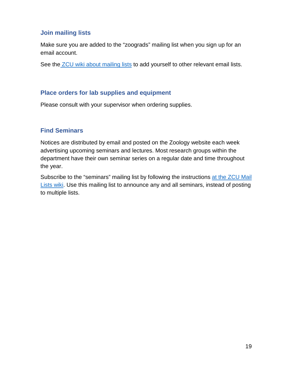#### <span id="page-18-0"></span>**Join mailing lists**

Make sure you are added to the "zoograds" mailing list when you sign up for an email account.

See the **ZCU** wiki about mailing lists to add yourself to other relevant email lists.

#### <span id="page-18-1"></span>**Place orders for lab supplies and equipment**

Please consult with your supervisor when ordering supplies.

#### <span id="page-18-2"></span>**Find Seminars**

Notices are distributed by email and posted on the Zoology website each week advertising upcoming seminars and lectures. Most research groups within the department have their own seminar series on a regular date and time throughout the year.

Subscribe to the "seminars" mailing list by following the instructions at the ZCU Mail [Lists wiki.](https://zcu.zoology.ubc.ca:442/wiki/index.php/Mail_Lists) Use this mailing list to announce any and all seminars, instead of posting to multiple lists.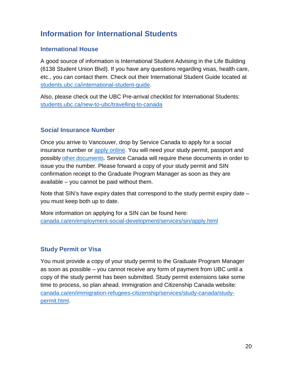# <span id="page-19-0"></span>**Information for International Students**

#### <span id="page-19-1"></span>**International House**

A good source of information is International Student Advising in the Life Building (6138 Student Union Blvd). If you have any questions regarding visas, health care, etc., you can contact them. Check out their International Student Guide located at [students.ubc.ca/international-student-guide.](https://students.ubc.ca/international-student-guide)

Also, please check out the UBC Pre-arrival checklist for International Students: [students.ubc.ca/new-to-ubc/travelling-to-canada](https://students.ubc.ca/new-to-ubc/travelling-to-canada)

#### <span id="page-19-2"></span>**Social Insurance Number**

Once you arrive to Vancouver, drop by Service Canada to apply for a social insurance number or [apply online.](https://www.canada.ca/en/employment-social-development/services/sin/apply.html) You will need your study permit, passport and possibly [other documents.](https://www.canada.ca/en/employment-social-development/services/sin/before-applying.html#h2.1) Service Canada will require these documents in order to issue you the number. Please forward a copy of your study permit and SIN confirmation receipt to the Graduate Program Manager as soon as they are available – you cannot be paid without them.

Note that SIN's have expiry dates that correspond to the study permit expiry date – you must keep both up to date.

More information on applying for a SIN can be found here: [canada.ca/en/employment-social-development/services/sin/apply.html](https://www.canada.ca/en/employment-social-development/services/sin/apply.html)

#### <span id="page-19-3"></span>**Study Permit or Visa**

You must provide a copy of your study permit to the Graduate Program Manager as soon as possible – you cannot receive any form of payment from UBC until a copy of the study permit has been submitted. Study permit extensions take some time to process, so plan ahead. Immigration and Citizenship Canada website: [canada.ca/en/immigration-refugees-citizenship/services/study-canada/study](https://www.canada.ca/en/immigration-refugees-citizenship/services/study-canada/study-permit.html)[permit.html.](https://www.canada.ca/en/immigration-refugees-citizenship/services/study-canada/study-permit.html)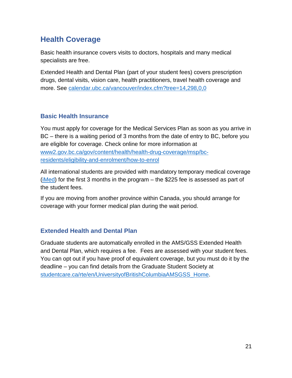# <span id="page-20-0"></span>**Health Coverage**

Basic health insurance covers visits to doctors, hospitals and many medical specialists are free.

Extended Health and Dental Plan (part of your student fees) covers prescription drugs, dental visits, vision care, health practitioners, travel health coverage and more. See [calendar.ubc.ca/vancouver/index.cfm?tree=14,298,0,0](http://www.calendar.ubc.ca/vancouver/index.cfm?tree=14,298,0,0)

# <span id="page-20-1"></span>**Basic Health Insurance**

You must apply for coverage for the Medical Services Plan as soon as you arrive in BC – there is a waiting period of 3 months from the date of entry to BC, before you are eligible for coverage. Check online for more information at [www2.gov.bc.ca/gov/content/health/health-drug-coverage/msp/bc](https://www2.gov.bc.ca/gov/content/health/health-drug-coverage/msp/bc-residents/eligibility-and-enrolment/how-to-enrol)[residents/eligibility-and-enrolment/how-to-enrol](https://www2.gov.bc.ca/gov/content/health/health-drug-coverage/msp/bc-residents/eligibility-and-enrolment/how-to-enrol)

All international students are provided with mandatory temporary medical coverage [\(iMed\)](https://students.ubc.ca/health/health-insurance/health-insurance-international/imed-temporary-health-insurance-international) for the first 3 months in the program – the \$225 fee is assessed as part of the student fees.

If you are moving from another province within Canada, you should arrange for coverage with your former medical plan during the wait period.

## <span id="page-20-2"></span>**Extended Health and Dental Plan**

Graduate students are automatically enrolled in the AMS/GSS Extended Health and Dental Plan, which requires a fee. Fees are assessed with your student fees. You can opt out if you have proof of equivalent coverage, but you must do it by the deadline – you can find details from the Graduate Student Society at [studentcare.ca/rte/en/UniversityofBritishColumbiaAMSGSS\\_Home.](http://studentcare.ca/rte/en/UniversityofBritishColumbiaAMSGSS_Home)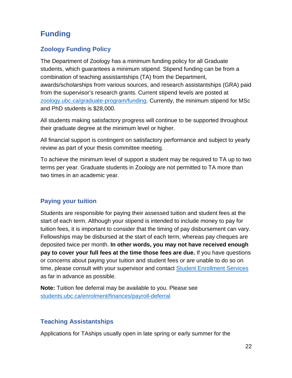# <span id="page-21-0"></span>**Funding**

# <span id="page-21-1"></span>**Zoology Funding Policy**

The Department of Zoology has a minimum funding policy for all Graduate students, which guarantees a minimum stipend. Stipend funding can be from a combination of teaching assistantships (TA) from the Department, awards/scholarships from various sources, and research assistantships (GRA) paid from the supervisor's research grants. Current stipend levels are posted at [zoology.ubc.ca/graduate-program/funding.](https://www.zoology.ubc.ca/graduate-program/funding) Currently, the minimum stipend for MSc and PhD students is \$28,000.

All students making satisfactory progress will continue to be supported throughout their graduate degree at the minimum level or higher.

All financial support is contingent on satisfactory performance and subject to yearly review as part of your thesis committee meeting.

To achieve the minimum level of support a student may be required to TA up to two terms per year. Graduate students in Zoology are not permitted to TA more than two times in an academic year.

#### <span id="page-21-2"></span>**Paying your tuition**

Students are responsible for paying their assessed tuition and student fees at the start of each term. Although your stipend is intended to include money to pay for tuition fees, it is important to consider that the timing of pay disbursement can vary. Fellowships may be disbursed at the start of each term, whereas pay cheques are deposited twice per month. **In other words, you may not have received enough pay to cover your full fees at the time those fees are due.** If you have questions or concerns about paying your tuition and student fees or are unable to do so on time, please consult with your supervisor and contact [Student Enrollment Services](https://students.ubc.ca/about-student-services/enrolment-services-advisors) as far in advance as possible.

**Note:** Tuition fee deferral may be available to you. Please see [students.ubc.ca/enrolment/finances/payroll-deferral](https://webforms.students.ubc.ca/enrolment/finances/payroll-deferral)

#### <span id="page-21-3"></span>**Teaching Assistantships**

Applications for TAships usually open in late spring or early summer for the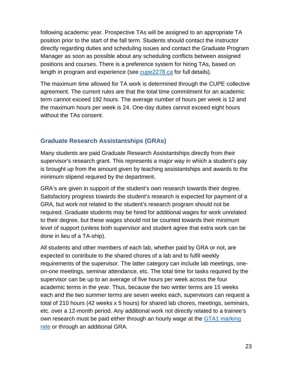following academic year. Prospective TAs will be assigned to an appropriate TA position prior to the start of the fall term. Students should contact the instructor directly regarding duties and scheduling issues and contact the Graduate Program Manager as soon as possible about any scheduling conflicts between assigned positions and courses. There is a preference system for hiring TAs, based on length in program and experience (see [cupe2278.ca](https://cupe2278.ca/) for full details).

The maximum time allowed for TA work is determined through the CUPE collective agreement. The current rules are that the total time commitment for an academic term cannot exceed 192 hours. The average number of hours per week is 12 and the maximum hours per week is 24. One-day duties cannot exceed eight hours without the TAs consent.

#### <span id="page-22-0"></span>**Graduate Research Assistantships (GRAs)**

Many students are paid Graduate Research Assistantships directly from their supervisor's research grant. This represents a major way in which a student's pay is brought up from the amount given by teaching assistantships and awards to the minimum stipend required by the department.

GRA's are given in support of the student's own research towards their degree. Satisfactory progress towards the student's research is expected for payment of a GRA, but work not related to the student's research program should not be required. Graduate students may be hired for additional wages for work unrelated to their degree, but these wages should not be counted towards their minimum level of support (unless both supervisor and student agree that extra work can be done in lieu of a TA-ship).

All students and other members of each lab, whether paid by GRA or not, are expected to contribute to the shared chores of a lab and to fulfil weekly requirements of the supervisor. The latter category can include lab meetings, oneon-one meetings, seminar attendance, etc. The total time for tasks required by the supervisor can be up to an average of five hours per week across the four academic terms in the year. Thus, because the two winter terms are 15 weeks each and the two summer terms are seven weeks each, supervisors can request a total of 210 hours (42 weeks x 5 hours) for shared lab chores, meetings, seminars, etc. over a 12-month period. Any additional work not directly related to a trainee's own research must be paid either through an hourly wage at the GTA1 marking [rate](https://cupe2278.ca/how-we-help/pay-rates/) or through an additional GRA.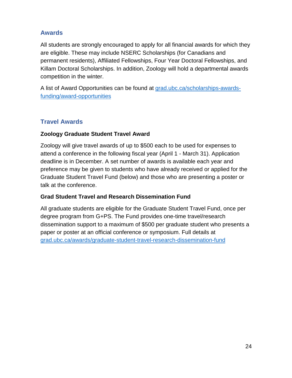#### <span id="page-23-0"></span>**Awards**

All students are strongly encouraged to apply for all financial awards for which they are eligible. These may include NSERC Scholarships (for Canadians and permanent residents), Affiliated Fellowships, Four Year Doctoral Fellowships, and Killam Doctoral Scholarships. In addition, Zoology will hold a departmental awards competition in the winter.

A list of Award Opportunities can be found at [grad.ubc.ca/scholarships-awards](https://www.grad.ubc.ca/scholarships-awards-funding/award-opportunities)[funding/award-opportunities](https://www.grad.ubc.ca/scholarships-awards-funding/award-opportunities)

## <span id="page-23-1"></span>**Travel Awards**

#### **Zoology Graduate Student Travel Award**

Zoology will give travel awards of up to \$500 each to be used for expenses to attend a conference in the following fiscal year (April 1 - March 31). Application deadline is in December. A set number of awards is available each year and preference may be given to students who have already received or applied for the Graduate Student Travel Fund (below) and those who are presenting a poster or talk at the conference.

#### **Grad Student Travel and Research Dissemination Fund**

All graduate students are eligible for the Graduate Student Travel Fund, once per degree program from G+PS. The Fund provides one-time travel/research dissemination support to a maximum of \$500 per graduate student who presents a paper or poster at an official conference or symposium. Full details at [grad.ubc.ca/awards/graduate-student-travel-research-dissemination-fund](https://www.grad.ubc.ca/awards/graduate-student-travel-research-dissemination-fund)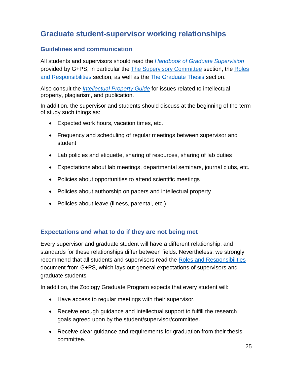# <span id="page-24-0"></span>**Graduate student-supervisor working relationships**

#### <span id="page-24-1"></span>**Guidelines and communication**

All students and supervisors should read the *[Handbook of Graduate Supervision](https://www.grad.ubc.ca/handbook-graduate-supervision)* provided by G+PS, in particular the [The Supervisory Committee](https://www.grad.ubc.ca/handbook-graduate-supervision/supervisory-committee) section, the [Roles](https://www.grad.ubc.ca/handbook-graduate-supervision/roles-responsibilities)  [and Responsibilities](https://www.grad.ubc.ca/handbook-graduate-supervision/roles-responsibilities) section, as well as the [The Graduate](https://www.grad.ubc.ca/handbook-graduate-supervision/graduate-thesis) Thesis section.

Also consult the *[Intellectual Property Guide](https://www.grad.ubc.ca/intellectual-property-guide)* for issues related to intellectual property, plagiarism, and publication.

In addition, the supervisor and students should discuss at the beginning of the term of study such things as:

- Expected work hours, vacation times, etc.
- Frequency and scheduling of regular meetings between supervisor and student
- Lab policies and etiquette, sharing of resources, sharing of lab duties
- Expectations about lab meetings, departmental seminars, journal clubs, etc.
- Policies about opportunities to attend scientific meetings
- Policies about authorship on papers and intellectual property
- Policies about leave (illness, parental, etc.)

#### <span id="page-24-2"></span>**Expectations and what to do if they are not being met**

Every supervisor and graduate student will have a different relationship, and standards for these relationships differ between fields. Nevertheless, we strongly recommend that all students and supervisors read the [Roles and Responsibilities](https://www.grad.ubc.ca/handbook-graduate-supervision/roles-responsibilities) document from G+PS, which lays out general expectations of supervisors and graduate students.

In addition, the Zoology Graduate Program expects that every student will:

- Have access to regular meetings with their supervisor.
- Receive enough guidance and intellectual support to fulfill the research goals agreed upon by the student/supervisor/committee.
- Receive clear guidance and requirements for graduation from their thesis committee.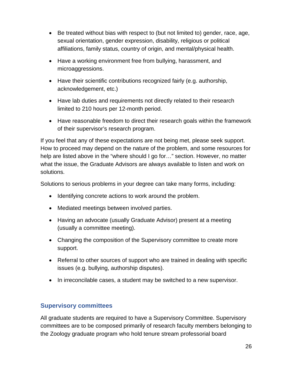- Be treated without bias with respect to (but not limited to) gender, race, age, sexual orientation, gender expression, disability, religious or political affiliations, family status, country of origin, and mental/physical health.
- Have a working environment free from bullying, harassment, and microaggressions.
- Have their scientific contributions recognized fairly (e.g. authorship, acknowledgement, etc.)
- Have lab duties and requirements not directly related to their research limited to 210 hours per 12-month period.
- Have reasonable freedom to direct their research goals within the framework of their supervisor's research program.

If you feel that any of these expectations are not being met, please seek support. How to proceed may depend on the nature of the problem, and some resources for help are listed above in the "where should I go for…" section. However, no matter what the issue, the Graduate Advisors are always available to listen and work on solutions.

Solutions to serious problems in your degree can take many forms, including:

- Identifying concrete actions to work around the problem.
- Mediated meetings between involved parties.
- Having an advocate (usually Graduate Advisor) present at a meeting (usually a committee meeting).
- Changing the composition of the Supervisory committee to create more support.
- Referral to other sources of support who are trained in dealing with specific issues (e.g. bullying, authorship disputes).
- In irreconcilable cases, a student may be switched to a new supervisor.

#### <span id="page-25-0"></span>**Supervisory committees**

All graduate students are required to have a Supervisory Committee. Supervisory committees are to be composed primarily of research faculty members belonging to the Zoology graduate program who hold tenure stream professorial board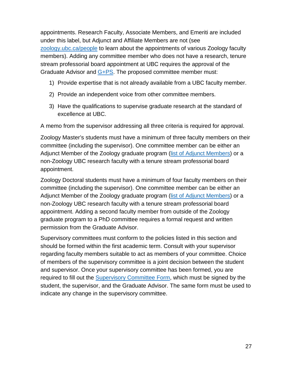appointments. Research Faculty, Associate Members, and Emeriti are included under this label, but Adjunct and Affiliate Members are not (see [zoology.ubc.ca/people](https://www.zoology.ubc.ca/people) to learn about the appointments of various Zoology faculty members). Adding any committee member who does not have a research, tenure stream professorial board appointment at UBC requires the approval of the Graduate Advisor and [G+PS.](https://www.grad.ubc.ca/faculty-staff/policies-procedures/non-members-faculty-graduate-postdoctoral-studies-supervisory) The proposed committee member must:

- 1) Provide expertise that is not already available from a UBC faculty member.
- 2) Provide an independent voice from other committee members.
- 3) Have the qualifications to supervise graduate research at the standard of excellence at UBC.

A memo from the supervisor addressing all three criteria is required for approval.

Zoology Master's students must have a minimum of three faculty members on their committee (including the supervisor). One committee member can be either an Adjunct Member of the Zoology graduate program [\(list of Adjunct Members\)](https://www.zoology.ubc.ca/people) or a non-Zoology UBC research faculty with a tenure stream professorial board appointment.

Zoology Doctoral students must have a minimum of four faculty members on their committee (including the supervisor). One committee member can be either an Adjunct Member of the Zoology graduate program [\(list of Adjunct Members\)](https://www.zoology.ubc.ca/people) or a non-Zoology UBC research faculty with a tenure stream professorial board appointment. Adding a second faculty member from outside of the Zoology graduate program to a PhD committee requires a formal request and written permission from the Graduate Advisor.

Supervisory committees must conform to the policies listed in this section and should be formed within the first academic term. Consult with your supervisor regarding faculty members suitable to act as members of your committee. Choice of members of the supervisory committee is a joint decision between the student and supervisor. Once your supervisory committee has been formed, you are required to fill out the [Supervisory Committee Form,](https://www.zoology.ubc.ca/system/files/assets/media-file/file/2021-05/Supervisory_Committee_Form.pdf) which must be signed by the student, the supervisor, and the Graduate Advisor. The same form must be used to indicate any change in the supervisory committee.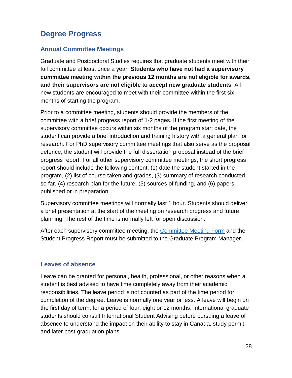# <span id="page-27-0"></span>**Degree Progress**

## <span id="page-27-1"></span>**Annual Committee Meetings**

Graduate and Postdoctoral Studies requires that graduate students meet with their full committee at least once a year. **Students who have not had a supervisory committee meeting within the previous 12 months are not eligible for awards, and their supervisors are not eligible to accept new graduate students**. All new students are encouraged to meet with their committee within the first six months of starting the program.

Prior to a committee meeting, students should provide the members of the committee with a brief progress report of 1-2 pages. If the first meeting of the supervisory committee occurs within six months of the program start date, the student can provide a brief introduction and training history with a general plan for research. For PhD supervisory committee meetings that also serve as the proposal defence, the student will provide the full dissertation proposal instead of the brief progress report. For all other supervisory committee meetings, the short progress report should include the following content: (1) date the student started in the program, (2) list of course taken and grades, (3) summary of research conducted so far, (4) research plan for the future, (5) sources of funding, and (6) papers published or in preparation.

Supervisory committee meetings will normally last 1 hour. Students should deliver a brief presentation at the start of the meeting on research progress and future planning. The rest of the time is normally left for open discussion.

After each supervisory committee meeting, the [Committee Meeting Form](https://www.zoology.ubc.ca/system/files/assets/media-file/file/2021-05/Supervisory_Committee_Form.pdf) and the Student Progress Report must be submitted to the Graduate Program Manager.

## <span id="page-27-2"></span>**Leaves of absence**

Leave can be granted for personal, health, professional, or other reasons when a student is best advised to have time completely away from their academic responsibilities. The leave period is not counted as part of the time period for completion of the degree. Leave is normally one year or less. A leave will begin on the first day of term, for a period of four, eight or 12 months. International graduate students should consult International Student Advising before pursuing a leave of absence to understand the impact on their ability to stay in Canada, study permit, and later post-graduation plans.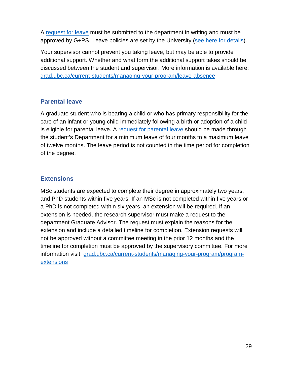A [request for leave](https://www.grad.ubc.ca/forms/request-leave-absence) must be submitted to the department in writing and must be approved by G+PS. Leave policies are set by the University [\(see here for details\)](https://www.grad.ubc.ca/faculty-staff/policies-procedures/leave-status).

Your supervisor cannot prevent you taking leave, but may be able to provide additional support. Whether and what form the additional support takes should be discussed between the student and supervisor. More information is available here: [grad.ubc.ca/current-students/managing-your-program/leave-absence](http://www.grad.ubc.ca/current-students/managing-your-program/leave-absence)

#### <span id="page-28-0"></span>**Parental leave**

A graduate student who is bearing a child or who has primary responsibility for the care of an infant or young child immediately following a birth or adoption of a child is eligible for parental leave. A [request for parental leave](https://www.grad.ubc.ca/forms/request-leave-absence) should be made through the student's Department for a minimum leave of four months to a maximum leave of twelve months. The leave period is not counted in the time period for completion of the degree.

#### <span id="page-28-1"></span>**Extensions**

MSc students are expected to complete their degree in approximately two years, and PhD students within five years. If an MSc is not completed within five years or a PhD is not completed within six years, an extension will be required. If an extension is needed, the research supervisor must make a request to the department Graduate Advisor. The request must explain the reasons for the extension and include a detailed timeline for completion. Extension requests will not be approved without a committee meeting in the prior 12 months and the timeline for completion must be approved by the supervisory committee. For more information visit: [grad.ubc.ca/current-students/managing-your-program/program](https://www.grad.ubc.ca/current-students/managing-your-program/program-extensions)[extensions](https://www.grad.ubc.ca/current-students/managing-your-program/program-extensions)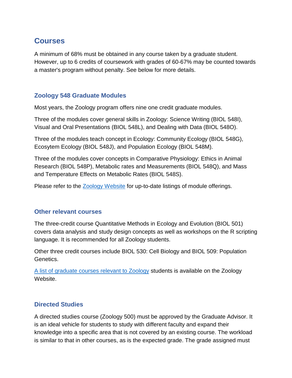# <span id="page-29-0"></span>**Courses**

A minimum of 68% must be obtained in any course taken by a graduate student. However, up to 6 credits of coursework with grades of 60-67% may be counted towards a master's program without penalty. See below for more details.

#### <span id="page-29-1"></span>**Zoology 548 Graduate Modules**

Most years, the Zoology program offers nine one credit graduate modules.

Three of the modules cover general skills in Zoology: Science Writing (BIOL 548I), Visual and Oral Presentations (BIOL 548L), and Dealing with Data (BIOL 548O).

Three of the modules teach concept in Ecology: Community Ecology (BIOL 548G), Ecosytem Ecology (BIOL 548J), and Population Ecology (BIOL 548M).

Three of the modules cover concepts in Comparative Physiology: Ethics in Animal Research (BIOL 548P), Metabolic rates and Measurements (BIOL 548Q), and Mass and Temperature Effects on Metabolic Rates (BIOL 548S).

Please refer to the [Zoology Website](https://www.zoology.ubc.ca/graduate-program/courses-modules/single-credit-modules) for up-to-date listings of module offerings.

#### <span id="page-29-2"></span>**Other relevant courses**

The three-credit course Quantitative Methods in Ecology and Evolution (BIOL 501) covers data analysis and study design concepts as well as workshops on the R scripting language. It is recommended for all Zoology students.

Other three credit courses include BIOL 530: Cell Biology and BIOL 509: Population Genetics.

[A list of graduate courses relevant to Zoology](https://www.zoology.ubc.ca/graduate-program/courses-modules/graduate-courses) students is available on the Zoology Website.

#### <span id="page-29-3"></span>**Directed Studies**

A directed studies course (Zoology 500) must be approved by the Graduate Advisor. It is an ideal vehicle for students to study with different faculty and expand their knowledge into a specific area that is not covered by an existing course. The workload is similar to that in other courses, as is the expected grade. The grade assigned must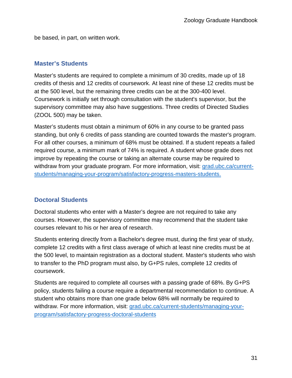be based, in part, on written work.

#### <span id="page-30-0"></span>**Master's Students**

Master's students are required to complete a minimum of 30 credits, made up of 18 credits of thesis and 12 credits of coursework. At least nine of these 12 credits must be at the 500 level, but the remaining three credits can be at the 300-400 level. Coursework is initially set through consultation with the student's supervisor, but the supervisory committee may also have suggestions. Three credits of Directed Studies (ZOOL 500) may be taken.

Master's students must obtain a minimum of 60% in any course to be granted pass standing, but only 6 credits of pass standing are counted towards the master's program. For all other courses, a minimum of 68% must be obtained. If a student repeats a failed required course, a minimum mark of 74% is required. A student whose grade does not improve by repeating the course or taking an alternate course may be required to withdraw from your graduate program. For more information, visit: [grad.ubc.ca/current](https://www.grad.ubc.ca/current-students/managing-your-program/satisfactory-progress-masters-students)[students/managing-your-program/satisfactory-progress-masters-students.](https://www.grad.ubc.ca/current-students/managing-your-program/satisfactory-progress-masters-students)

## <span id="page-30-1"></span>**Doctoral Students**

Doctoral students who enter with a Master's degree are not required to take any courses. However, the supervisory committee may recommend that the student take courses relevant to his or her area of research.

Students entering directly from a Bachelor's degree must, during the first year of study, complete 12 credits with a first class average of which at least nine credits must be at the 500 level, to maintain registration as a doctoral student. Master's students who wish to transfer to the PhD program must also, by G+PS rules, complete 12 credits of coursework.

Students are required to complete all courses with a passing grade of 68%. By G+PS policy, students failing a course require a departmental recommendation to continue. A student who obtains more than one grade below 68% will normally be required to withdraw. For more information, visit: [grad.ubc.ca/current-students/managing-your](https://www.grad.ubc.ca/current-students/managing-your-program/satisfactory-progress-doctoral-students)[program/satisfactory-progress-doctoral-students](https://www.grad.ubc.ca/current-students/managing-your-program/satisfactory-progress-doctoral-students)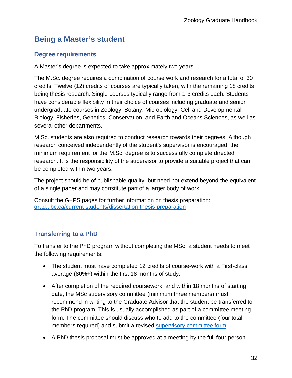# <span id="page-31-0"></span>**Being a Master's student**

## <span id="page-31-1"></span>**Degree requirements**

A Master's degree is expected to take approximately two years.

The M.Sc. degree requires a combination of course work and research for a total of 30 credits. Twelve (12) credits of courses are typically taken, with the remaining 18 credits being thesis research. Single courses typically range from 1-3 credits each. Students have considerable flexibility in their choice of courses including graduate and senior undergraduate courses in Zoology, Botany, Microbiology, Cell and Developmental Biology, Fisheries, Genetics, Conservation, and Earth and Oceans Sciences, as well as several other departments.

M.Sc. students are also required to conduct research towards their degrees. Although research conceived independently of the student's supervisor is encouraged, the minimum requirement for the M.Sc. degree is to successfully complete directed research. It is the responsibility of the supervisor to provide a suitable project that can be completed within two years.

The project should be of publishable quality, but need not extend beyond the equivalent of a single paper and may constitute part of a larger body of work.

Consult the G+PS pages for further information on thesis preparation: [grad.ubc.ca/current-students/dissertation-thesis-preparation](https://www.grad.ubc.ca/current-students/dissertation-thesis-preparation)

# <span id="page-31-2"></span>**Transferring to a PhD**

To transfer to the PhD program without completing the MSc, a student needs to meet the following requirements:

- The student must have completed 12 credits of course-work with a First-class average (80%+) within the first 18 months of study.
- After completion of the required coursework, and within 18 months of starting date, the MSc supervisory committee (minimum three members) must recommend in writing to the Graduate Advisor that the student be transferred to the PhD program. This is usually accomplished as part of a committee meeting form. The committee should discuss who to add to the committee (four total members required) and submit a revised [supervisory committee form.](https://www.zoology.ubc.ca/system/files/assets/media-file/file/2021-05/Supervisory_Committee_Form.pdf)
- A PhD thesis proposal must be approved at a meeting by the full four-person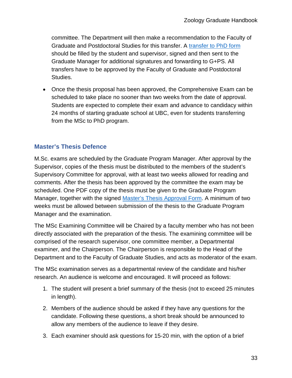committee. The Department will then make a recommendation to the Faculty of Graduate and Postdoctoral Studies for this transfer. A [transfer to](https://www.grad.ubc.ca/forms/transfer-masters-doctoral-graduate-program) PhD form should be filled by the student and supervisor, signed and then sent to the Graduate Manager for additional signatures and forwarding to G+PS. All transfers have to be approved by the Faculty of Graduate and Postdoctoral Studies.

• Once the thesis proposal has been approved, the Comprehensive Exam can be scheduled to take place no sooner than two weeks from the date of approval. Students are expected to complete their exam and advance to candidacy within 24 months of starting graduate school at UBC, even for students transferring from the MSc to PhD program.

## <span id="page-32-0"></span>**Master's Thesis Defence**

M.Sc. exams are scheduled by the Graduate Program Manager. After approval by the Supervisor, copies of the thesis must be distributed to the members of the student's Supervisory Committee for approval, with at least two weeks allowed for reading and comments. After the thesis has been approved by the committee the exam may be scheduled. One PDF copy of the thesis must be given to the Graduate Program Manager, together with the signed [Master's Thesis Approval Form.](https://www.zoology.ubc.ca/system/files/assets/media-file/file/2019-05/Master%26amp%3B%23039%3Bs%20Thesis%20Approval%20Form-1.pdf) A minimum of two weeks must be allowed between submission of the thesis to the Graduate Program Manager and the examination.

The MSc Examining Committee will be Chaired by a faculty member who has not been directly associated with the preparation of the thesis. The examining committee will be comprised of the research supervisor, one committee member, a Departmental examiner, and the Chairperson. The Chairperson is responsible to the Head of the Department and to the Faculty of Graduate Studies, and acts as moderator of the exam.

The MSc examination serves as a departmental review of the candidate and his/her research. An audience is welcome and encouraged. It will proceed as follows:

- 1. The student will present a brief summary of the thesis (not to exceed 25 minutes in length).
- 2. Members of the audience should be asked if they have any questions for the candidate. Following these questions, a short break should be announced to allow any members of the audience to leave if they desire.
- 3. Each examiner should ask questions for 15-20 min, with the option of a brief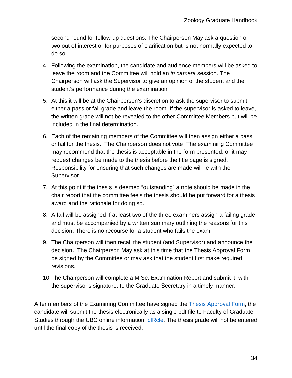second round for follow-up questions. The Chairperson May ask a question or two out of interest or for purposes of clarification but is not normally expected to do so.

- 4. Following the examination, the candidate and audience members will be asked to leave the room and the Committee will hold an *in camera* session. The Chairperson will ask the Supervisor to give an opinion of the student and the student's performance during the examination.
- 5. At this it will be at the Chairperson's discretion to ask the supervisor to submit either a pass or fail grade and leave the room. If the supervisor is asked to leave, the written grade will not be revealed to the other Committee Members but will be included in the final determination.
- 6. Each of the remaining members of the Committee will then assign either a pass or fail for the thesis. The Chairperson does not vote. The examining Committee may recommend that the thesis is acceptable in the form presented, or it may request changes be made to the thesis before the title page is signed. Responsibility for ensuring that such changes are made will lie with the Supervisor.
- 7. At this point if the thesis is deemed "outstanding" a note should be made in the chair report that the committee feels the thesis should be put forward for a thesis award and the rationale for doing so.
- 8. A fail will be assigned if at least two of the three examiners assign a failing grade and must be accompanied by a written summary outlining the reasons for this decision. There is no recourse for a student who fails the exam.
- 9. The Chairperson will then recall the student (and Supervisor) and announce the decision. The Chairperson May ask at this time that the Thesis Approval Form be signed by the Committee or may ask that the student first make required revisions.
- 10.The Chairperson will complete a M.Sc. Examination Report and submit it, with the supervisor's signature, to the Graduate Secretary in a timely manner.

After members of the Examining Committee have signed the [Thesis Approval Form,](https://www.grad.ubc.ca/forms/masters-thesis-approval) the candidate will submit the thesis electronically as a single pdf file to Faculty of Graduate Studies through the UBC online information, [cIRcle.](https://circle.ubc.ca/) The thesis grade will not be entered until the final copy of the thesis is received.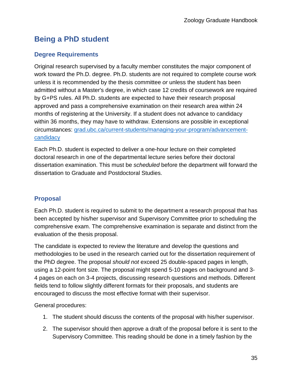# <span id="page-34-0"></span>**Being a PhD student**

# <span id="page-34-1"></span>**Degree Requirements**

Original research supervised by a faculty member constitutes the major component of work toward the Ph.D. degree. Ph.D. students are not required to complete course work unless it is recommended by the thesis committee *or* unless the student has been admitted without a Master's degree, in which case 12 credits of coursework are required by G+PS rules. All Ph.D. students are expected to have their research proposal approved and pass a comprehensive examination on their research area within 24 months of registering at the University. If a student does not advance to candidacy within 36 months, they may have to withdraw. Extensions are possible in exceptional circumstances: [grad.ubc.ca/current-students/managing-your-program/advancement](https://www.grad.ubc.ca/current-students/managing-your-program/advancement-candidacy)[candidacy](https://www.grad.ubc.ca/current-students/managing-your-program/advancement-candidacy)

Each Ph.D. student is expected to deliver a one-hour lecture on their completed doctoral research in one of the departmental lecture series before their doctoral dissertation examination. This must be *scheduled* before the department will forward the dissertation to Graduate and Postdoctoral Studies.

# <span id="page-34-2"></span>**Proposal**

Each Ph.D. student is required to submit to the department a research proposal that has been accepted by his/her supervisor and Supervisory Committee prior to scheduling the comprehensive exam. The comprehensive examination is separate and distinct from the evaluation of the thesis proposal.

The candidate is expected to review the literature and develop the questions and methodologies to be used in the research carried out for the dissertation requirement of the PhD degree. The proposal *should not* exceed 25 double-spaced pages in length, using a 12-point font size. The proposal might spend 5-10 pages on background and 3- 4 pages on each on 3-4 projects, discussing research questions and methods. Different fields tend to follow slightly different formats for their proposals, and students are encouraged to discuss the most effective format with their supervisor.

General procedures:

- 1. The student should discuss the contents of the proposal with his/her supervisor.
- 2. The supervisor should then approve a draft of the proposal before it is sent to the Supervisory Committee. This reading should be done in a timely fashion by the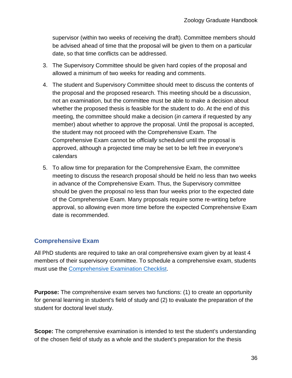supervisor (within two weeks of receiving the draft). Committee members should be advised ahead of time that the proposal will be given to them on a particular date, so that time conflicts can be addressed.

- 3. The Supervisory Committee should be given hard copies of the proposal and allowed a minimum of two weeks for reading and comments.
- 4. The student and Supervisory Committee should meet to discuss the contents of the proposal and the proposed research. This meeting should be a discussion, not an examination, but the committee must be able to make a decision about whether the proposed thesis is feasible for the student to do. At the end of this meeting, the committee should make a decision (*in camera* if requested by any member) about whether to approve the proposal. Until the proposal is accepted, the student may not proceed with the Comprehensive Exam. The Comprehensive Exam cannot be *officially* scheduled until the proposal is approved, although a projected time may be set to be left free in everyone's calendars
- 5. To allow time for preparation for the Comprehensive Exam, the committee meeting to discuss the research proposal should be held no less than two weeks in advance of the Comprehensive Exam. Thus, the Supervisory committee should be given the proposal no less than four weeks prior to the expected date of the Comprehensive Exam. Many proposals require some re-writing before approval, so allowing even more time before the expected Comprehensive Exam date is recommended.

# <span id="page-35-0"></span>**Comprehensive Exam**

All PhD students are required to take an oral comprehensive exam given by at least 4 members of their supervisory committee. To schedule a comprehensive exam, students must use the [Comprehensive Examination Checklist.](https://www.zoology.ubc.ca/system/files/assets/media-file/file/2020-03/Comps_Exam_Checklist_March%202020.pdf)

**Purpose:** The comprehensive exam serves two functions: (1) to create an opportunity for general learning in student's field of study and (2) to evaluate the preparation of the student for doctoral level study.

**Scope:** The comprehensive examination is intended to test the student's understanding of the chosen field of study as a whole and the student's preparation for the thesis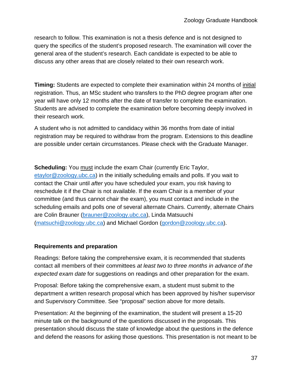research to follow. This examination is not a thesis defence and is not designed to query the specifics of the student's proposed research. The examination will cover the general area of the student's research. Each candidate is expected to be able to discuss any other areas that are closely related to their own research work.

**Timing:** Students are expected to complete their examination within 24 months of initial registration. Thus, an MSc student who transfers to the PhD degree program after one year will have only 12 months after the date of transfer to complete the examination. Students are advised to complete the examination before becoming deeply involved in their research work.

A student who is not admitted to candidacy within 36 months from date of initial registration may be required to withdraw from the program. Extensions to this deadline are possible under certain circumstances. Please check with the Graduate Manager.

**Scheduling:** You must include the exam Chair (currently Eric Taylor, [etaylor@zoology.ubc.ca\)](mailto:etaylor@zoology.ubc.ca) in the initially scheduling emails and polls. If you wait to contact the Chair until *after* you have scheduled your exam, you risk having to reschedule it if the Chair is not available. If the exam Chair is a member of your committee (and thus cannot chair the exam), you must contact and include in the scheduling emails and polls one of several alternate Chairs. Currently, alternate Chairs are Colin Brauner [\(brauner@zoology.ubc.ca\)](mailto:brauner@zoology.ubc.ca), Linda Matsuuchi [\(matsuchi@zoology.ubc.ca\)](mailto:matsuchi@zoology.ubc.ca) and Michael Gordon [\(gordon@zoology.ubc.ca\)](mailto:gordon@zoology.ubc.ca).

#### **Requirements and preparation**

Readings: Before taking the comprehensive exam, it is recommended that students contact all members of their committees *at least two to three months in advance of the expected exam date* for suggestions on readings and other preparation for the exam.

Proposal: Before taking the comprehensive exam, a student must submit to the department a written research proposal which has been approved by his/her supervisor and Supervisory Committee. See "proposal" section above for more details.

Presentation: At the beginning of the examination, the student will present a 15-20 minute talk on the background of the questions discussed in the proposals. This presentation should discuss the state of knowledge about the questions in the defence and defend the reasons for asking those questions. This presentation is not meant to be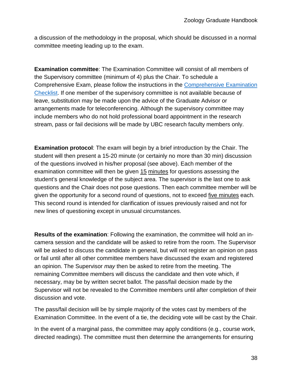a discussion of the methodology in the proposal, which should be discussed in a normal committee meeting leading up to the exam.

**Examination committee**: The Examination Committee will consist of all members of the Supervisory committee (minimum of 4) plus the Chair. To schedule a Comprehensive Exam, please follow the instructions in the [Comprehensive Examination](https://www.zoology.ubc.ca/system/files/assets/media-file/file/2020-03/Comps_Exam_Checklist_March%202020.pdf)  [Checklist.](https://www.zoology.ubc.ca/system/files/assets/media-file/file/2020-03/Comps_Exam_Checklist_March%202020.pdf) If one member of the supervisory committee is not available because of leave, substitution may be made upon the advice of the Graduate Advisor or arrangements made for teleconferencing. Although the supervisory committee may include members who do not hold professional board appointment in the research stream, pass or fail decisions will be made by UBC research faculty members only.

**Examination protocol**: The exam will begin by a brief introduction by the Chair. The student will then present a 15-20 minute (or certainly no more than 30 min) discussion of the questions involved in his/her proposal (see above). Each member of the examination committee will then be given 15 minutes for questions assessing the student's general knowledge of the subject area. The supervisor is the last one to ask questions and the Chair does not pose questions. Then each committee member will be given the opportunity for a second round of questions, not to exceed five minutes each. This second round is intended for clarification of issues previously raised and not for new lines of questioning except in unusual circumstances.

**Results of the examination**: Following the examination, the committee will hold an incamera session and the candidate will be asked to retire from the room. The Supervisor will be asked to discuss the candidate in general, but will not register an opinion on pass or fail until after all other committee members have discussed the exam and registered an opinion. The Supervisor *may* then be asked to retire from the meeting. The remaining Committee members will discuss the candidate and then vote which, if necessary, may be by written secret ballot. The pass/fail decision made by the Supervisor will not be revealed to the Committee members until after completion of their discussion and vote.

The pass/fail decision will be by simple majority of the votes cast by members of the Examination Committee. In the event of a tie, the deciding vote will be cast by the Chair.

In the event of a marginal pass, the committee may apply conditions (e.g., course work, directed readings). The committee must then determine the arrangements for ensuring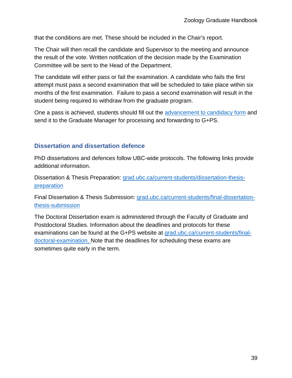that the conditions are met. These should be included in the Chair's report.

The Chair will then recall the candidate and Supervisor to the meeting and announce the result of the vote. Written notification of the decision made by the Examination Committee will be sent to the Head of the Department.

The candidate will either pass or fail the examination. A candidate who fails the first attempt must pass a second examination that will be scheduled to take place within six months of the first examination. Failure to pass a second examination will result in the student being required to withdraw from the graduate program.

One a pass is achieved, students should fill out the **advancement to candidacy form** and send it to the Graduate Manager for processing and forwarding to G+PS.

## <span id="page-38-0"></span>**Dissertation and dissertation defence**

PhD dissertations and defences follow UBC-wide protocols. The following links provide additional information.

Dissertation & Thesis Preparation: [grad.ubc.ca/current-students/dissertation-thesis](https://www.grad.ubc.ca/current-students/dissertation-thesis-preparation)[preparation](https://www.grad.ubc.ca/current-students/dissertation-thesis-preparation)

Final Dissertation & Thesis Submission: [grad.ubc.ca/current-students/final-dissertation](https://www.grad.ubc.ca/current-students/final-dissertation-thesis-submission)[thesis-submission](https://www.grad.ubc.ca/current-students/final-dissertation-thesis-submission)

The Doctoral Dissertation exam is administered through the Faculty of Graduate and Postdoctoral Studies. Information about the deadlines and protocols for these examinations can be found at the G+PS website at [grad.ubc.ca/current-students/final](https://www.grad.ubc.ca/current-students/final-doctoral-examination)[doctoral-examination.](https://www.grad.ubc.ca/current-students/final-doctoral-examination) Note that the deadlines for scheduling these exams are sometimes quite early in the term.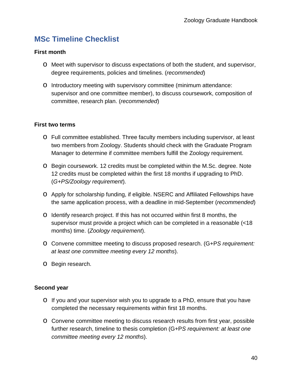# <span id="page-39-0"></span>**MSc Timeline Checklist**

#### **First month**

- o Meet with supervisor to discuss expectations of both the student, and supervisor, degree requirements, policies and timelines. (*recommended*)
- o Introductory meeting with supervisory committee (minimum attendance: supervisor and one committee member), to discuss coursework, composition of committee, research plan. (*recommended*)

#### **First two terms**

- o Full committee established. Three faculty members including supervisor, at least two members from Zoology. Students should check with the Graduate Program Manager to determine if committee members fulfill the Zoology requirement.
- o Begin coursework. 12 credits must be completed within the M.Sc. degree. Note 12 credits must be completed within the first 18 months if upgrading to PhD. (*G+PS/Zoology requirement*).
- o Apply for scholarship funding, if eligible. NSERC and Affiliated Fellowships have the same application process, with a deadline in mid-September (*recommended*)
- o Identify research project. If this has not occurred within first 8 months, the supervisor must provide a project which can be completed in a reasonable (<18 months) time. (*Zoology requirement*).
- o Convene committee meeting to discuss proposed research. (G+P*S requirement: at least one committee meeting every 12 months*).
- o Begin research.

#### **Second year**

- o If you and your supervisor wish you to upgrade to a PhD, ensure that you have completed the necessary requirements within first 18 months.
- o Convene committee meeting to discuss research results from first year, possible further research, timeline to thesis completion (G+P*S requirement: at least one committee meeting every 12 months*).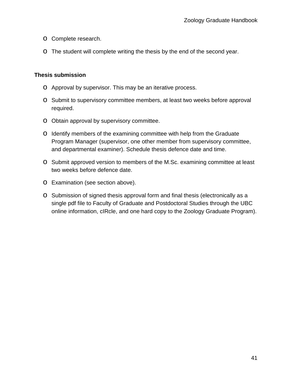- o Complete research.
- o The student will complete writing the thesis by the end of the second year.

#### **Thesis submission**

- o Approval by supervisor. This may be an iterative process.
- o Submit to supervisory committee members, at least two weeks before approval required.
- o Obtain approval by supervisory committee.
- o Identify members of the examining committee with help from the Graduate Program Manager (supervisor, one other member from supervisory committee, and departmental examiner). Schedule thesis defence date and time.
- o Submit approved version to members of the M.Sc. examining committee at least two weeks before defence date.
- o Examination (see section above).
- o Submission of signed thesis approval form and final thesis (electronically as a single pdf file to Faculty of Graduate and Postdoctoral Studies through the UBC online information, cIRcle, and one hard copy to the Zoology Graduate Program).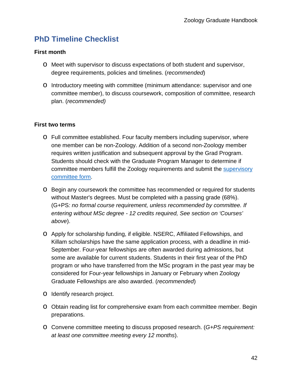# <span id="page-41-0"></span>**PhD Timeline Checklist**

#### **First month**

- o Meet with supervisor to discuss expectations of both student and supervisor, degree requirements, policies and timelines. (*recommended*)
- o Introductory meeting with committee (minimum attendance: supervisor and one committee member), to discuss coursework, composition of committee, research plan. (*recommended)*

#### **First two terms**

- o Full committee established. Four faculty members including supervisor, where one member can be non-Zoology. Addition of a second non-Zoology member requires written justification and subsequent approval by the Grad Program. Students should check with the Graduate Program Manager to determine if committee members fulfill the Zoology requirements and submit the **supervisory** [committee form.](https://www.zoology.ubc.ca/system/files/assets/media-file/file/2021-05/Supervisory_Committee_Form.pdf)
- o Begin any coursework the committee has recommended or required for students without Master's degrees. Must be completed with a passing grade (68%). (G+PS*: no formal course requirement, unless recommended by committee. If entering without MSc degree - 12 credits required, See section on 'Courses' above*).
- o Apply for scholarship funding, if eligible. NSERC, Affiliated Fellowships, and Killam scholarships have the same application process, with a deadline in mid-September. Four-year fellowships are often awarded during admissions, but some are available for current students. Students in their first year of the PhD program or who have transferred from the MSc program in the past year may be considered for Four-year fellowships in January or February when Zoology Graduate Fellowships are also awarded. (*recommended*)
- o Identify research project.
- o Obtain reading list for comprehensive exam from each committee member. Begin preparations.
- o Convene committee meeting to discuss proposed research. (*G+PS requirement: at least one committee meeting every 12 months*).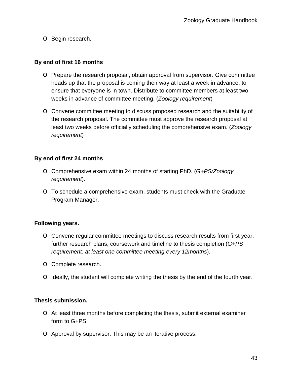o Begin research.

#### **By end of first 16 months**

- o Prepare the research proposal, obtain approval from supervisor. Give committee heads up that the proposal is coming their way at least a week in advance, to ensure that everyone is in town. Distribute to committee members at least two weeks in advance of committee meeting. (*Zoology requirement*)
- o Convene committee meeting to discuss proposed research and the suitability of the research proposal. The committee must approve the research proposal at least two weeks before officially scheduling the comprehensive exam. (*Zoology requirement*)

#### **By end of first 24 months**

- o Comprehensive exam within 24 months of starting PhD. (*G+PS/Zoology requirement*).
- o To schedule a comprehensive exam, students must check with the Graduate Program Manager.

#### **Following years.**

- o Convene regular committee meetings to discuss research results from first year, further research plans, coursework and timeline to thesis completion (*G+PS requirement: at least one committee meeting every 12months*).
- o Complete research.
- o Ideally, the student will complete writing the thesis by the end of the fourth year.

#### **Thesis submission.**

- o At least three months before completing the thesis, submit external examiner form to G+PS.
- o Approval by supervisor. This may be an iterative process.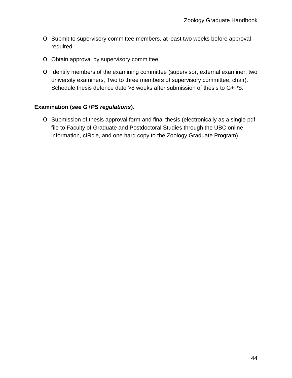- o Submit to supervisory committee members, at least two weeks before approval required.
- o Obtain approval by supervisory committee.
- o Identify members of the examining committee (supervisor, external examiner, two university examiners, Two to three members of supervisory committee, chair). Schedule thesis defence date >8 weeks after submission of thesis to G+PS.

#### **Examination (***see G+PS regulations***).**

o Submission of thesis approval form and final thesis (electronically as a single pdf file to Faculty of Graduate and Postdoctoral Studies through the UBC online information, cIRcle, and one hard copy to the Zoology Graduate Program).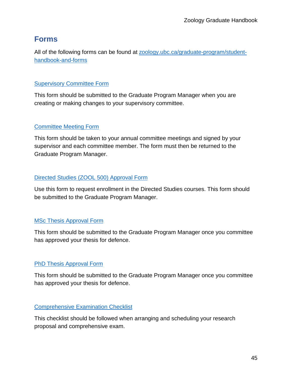# <span id="page-44-0"></span>**Forms**

All of the following forms can be found at [zoology.ubc.ca/graduate-program/student](https://www.zoology.ubc.ca/graduate-program/student-handbook-and-forms)[handbook-and-forms](https://www.zoology.ubc.ca/graduate-program/student-handbook-and-forms)

## **[Supervisory Committee Form](https://www.zoology.ubc.ca/system/files/assets/media-file/file/2021-05/Supervisory_Committee_Form.pdf)**

This form should be submitted to the Graduate Program Manager when you are creating or making changes to your supervisory committee.

# [Committee Meeting Form](https://www.zoology.ubc.ca/system/files/assets/media-file/file/2021-02/committee_meeting_form_Feb2021.pdf)

This form should be taken to your annual committee meetings and signed by your supervisor and each committee member. The form must then be returned to the Graduate Program Manager.

## [Directed Studies \(ZOOL 500\) Approval Form](https://www.zoology.ubc.ca/system/files/assets/media-file/file/2019-04/Directed_Studies_Approval_Form.pdf)

Use this form to request enrollment in the Directed Studies courses. This form should be submitted to the Graduate Program Manager.

## [MSc Thesis Approval Form](https://www.zoology.ubc.ca/system/files/assets/media-file/file/2019-05/Master%26amp%3B%23039%3Bs%20Thesis%20Approval%20Form-1.pdf)

This form should be submitted to the Graduate Program Manager once you committee has approved your thesis for defence.

# [PhD Thesis Approval Form](https://www.zoology.ubc.ca/system/files/assets/media-file/file/2019-04/phd_thesis_approval.pdf)

This form should be submitted to the Graduate Program Manager once you committee has approved your thesis for defence.

# [Comprehensive Examination Checklist](https://www.zoology.ubc.ca/system/files/assets/media-file/file/2020-03/Comps_Exam_Checklist_March%202020.pdf)

This checklist should be followed when arranging and scheduling your research proposal and comprehensive exam.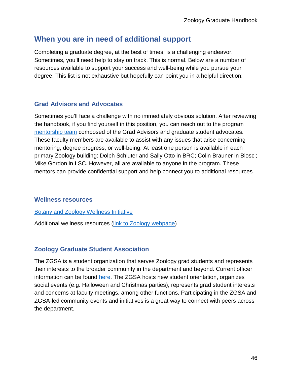# <span id="page-45-0"></span>**When you are in need of additional support**

Completing a graduate degree, at the best of times, is a challenging endeavor. Sometimes, you'll need help to stay on track. This is normal. Below are a number of resources available to support your success and well-being while you pursue your degree. This list is not exhaustive but hopefully can point you in a helpful direction:

#### <span id="page-45-1"></span>**Grad Advisors and Advocates**

Sometimes you'll face a challenge with no immediately obvious solution. After reviewing the handbook, if you find yourself in this position, you can reach out to the program [mentorship team](https://www.zoology.ubc.ca/graduate-program/current-students) composed of the Grad Advisors and graduate student advocates. These faculty members are available to assist with any issues that arise concerning mentoring, degree progress, or well-being. At least one person is available in each primary Zoology building: Dolph Schluter and Sally Otto in BRC; Colin Brauner in Biosci; Mike Gordon in LSC. However, all are available to anyone in the program. These mentors can provide confidential support and help connect you to additional resources.

#### <span id="page-45-2"></span>**Wellness resources**

[Botany and Zoology Wellness Initiative](https://www.botzooubcwellness.com/)

Additional wellness resources [\(link to Zoology webpage\)](https://www.zoology.ubc.ca/graduate-program/wellness-resources)

#### <span id="page-45-3"></span>**Zoology Graduate Student Association**

The ZGSA is a student organization that serves Zoology grad students and represents their interests to the broader community in the department and beyond. Current officer information can be found [here.](https://www.zoology.ubc.ca/graduate-program/zoology-graduate-student-association) The ZGSA hosts new student orientation, organizes social events (e.g. Halloween and Christmas parties), represents grad student interests and concerns at faculty meetings, among other functions. Participating in the ZGSA and ZGSA-led community events and initiatives is a great way to connect with peers across the department.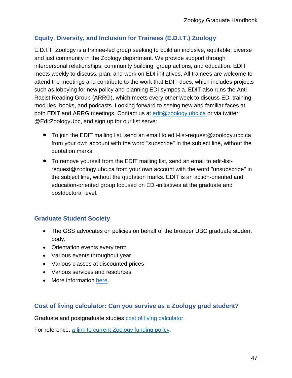# <span id="page-46-0"></span>**Equity, Diversity, and Inclusion for Trainees (E.D.I.T.) Zoology**

E.D.I.T. Zoology is a trainee-led group seeking to build an inclusive, equitable, diverse and just community in the Zoology department. We provide support through interpersonal relationships, community building, group actions, and education. EDIT meets weekly to discuss, plan, and work on EDI initiatives. All trainees are welcome to attend the meetings and contribute to the work that EDIT does, which includes projects such as lobbying for new policy and planning EDI symposia. EDIT also runs the Anti-Racist Reading Group (ARRG), which meets every other week to discuss EDI training modules, books, and podcasts. Looking forward to seeing new and familiar faces at both EDIT and ARRG meetings. Contact us at [edit@zoology.ubc.ca](mailto:edit@zoology.ubc.ca) or via twitter @EditZoologyUbc, and sign up for our list serve:

- To join the EDIT mailing list, send an email to edit-list-request@zoology.ubc.ca from your own account with the word "subscribe" in the subject line, without the quotation marks.
- To remove yourself from the EDIT mailing list, send an email to edit-listrequest@zoology.ubc.ca from your own account with the word "unsubscribe" in the subject line, without the quotation marks. EDIT is an action-oriented and education-oriented group focused on EDI-initiatives at the graduate and postdoctoral level.

# <span id="page-46-1"></span>**Graduate Student Society**

- The GSS advocates on policies on behalf of the broader UBC graduate student body.
- Orientation events every term
- Various events throughout year
- Various classes at discounted prices
- Various services and resources
- More information [here.](https://gss.ubc.ca/)

#### <span id="page-46-2"></span>**Cost of living calculator: Can you survive as a Zoology grad student?**

Graduate and postgraduate studies [cost of living calculator.](https://www.grad.ubc.ca/prospective-students/tuition-fees-cost-living/cost-living#calctable)

For reference, [a link to current Zoology funding policy.](https://www.zoology.ubc.ca/graduate-program/funding)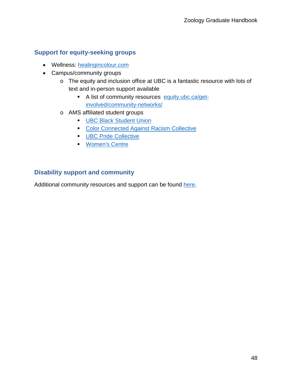# <span id="page-47-0"></span>**Support for equity-seeking groups**

- Wellness: [healingincolour.com](https://www.healingincolour.com/)
- Campus/community groups
	- o The equity and inclusion office at UBC is a fantastic resource with lots of text and in-person support available
		- A list of community resources [equity.ubc.ca/get](https://equity.ubc.ca/get-involved/community-networks/)[involved/community-networks/](https://equity.ubc.ca/get-involved/community-networks/)
	- o AMS affiliated student groups
		- **[UBC Black Student Union](https://www.facebook.com/UBCBSU)**
		- **[Color Connected Against Racism Collective](https://www.facebook.com/ubc.ccar/)**
		- **[UBC Pride Collective](https://www.prideubc.com/)**
		- **[Women's Centre](https://womenscentre.ams.ubc.ca/)**

#### <span id="page-47-1"></span>**Disability support and community**

Additional community resources and support can be found [here.](https://you.ubc.ca/ubc-life/campus-community/students-disabilities/#:%7E:text=If%20you)